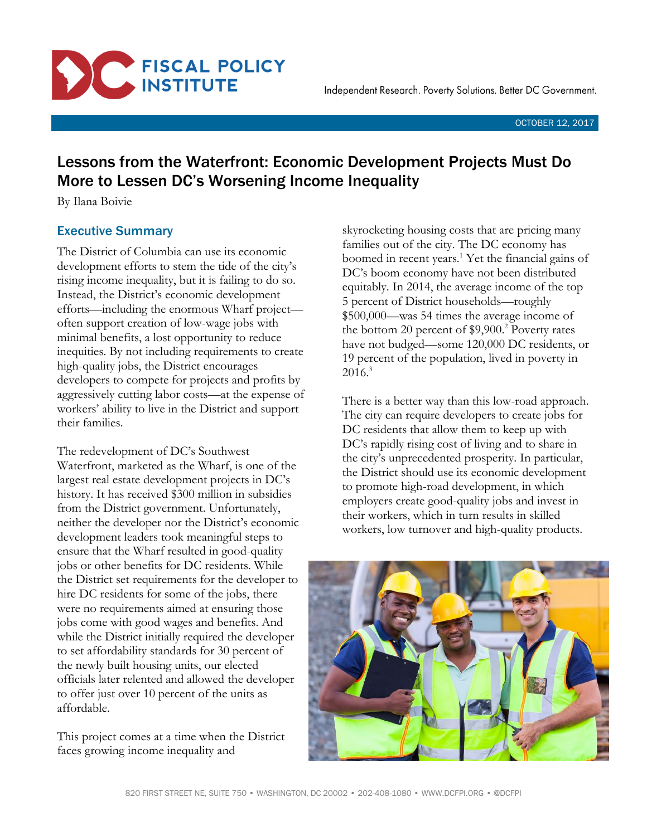

# Lessons from the Waterfront: Economic Development Projects Must Do More to Lessen DC's Worsening Income Inequality

By Ilana Boivie

# Executive Summary

The District of Columbia can use its economic development efforts to stem the tide of the city's rising income inequality, but it is failing to do so. Instead, the District's economic development efforts—including the enormous Wharf project often support creation of low-wage jobs with minimal benefits, a lost opportunity to reduce inequities. By not including requirements to create high-quality jobs, the District encourages developers to compete for projects and profits by aggressively cutting labor costs—at the expense of workers' ability to live in the District and support their families.

The redevelopment of DC's Southwest Waterfront, marketed as the Wharf, is one of the largest real estate development projects in DC's history. It has received \$300 million in subsidies from the District government. Unfortunately, neither the developer nor the District's economic development leaders took meaningful steps to ensure that the Wharf resulted in good-quality jobs or other benefits for DC residents. While the District set requirements for the developer to hire DC residents for some of the jobs, there were no requirements aimed at ensuring those jobs come with good wages and benefits. And while the District initially required the developer to set affordability standards for 30 percent of the newly built housing units, our elected officials later relented and allowed the developer to offer just over 10 percent of the units as affordable.

This project comes at a time when the District faces growing income inequality and

skyrocketing housing costs that are pricing many families out of the city. The DC economy has boomed in recent years.<sup>1</sup> Yet the financial gains of DC's boom economy have not been distributed equitably. In 2014, the average income of the top 5 percent of District households—roughly \$500,000—was 54 times the average income of the bottom 20 percent of \$9,900.<sup>2</sup> Poverty rates have not budged—some 120,000 DC residents, or 19 percent of the population, lived in poverty in  $2016.<sup>3</sup>$ 

There is a better way than this low-road approach. The city can require developers to create jobs for DC residents that allow them to keep up with DC's rapidly rising cost of living and to share in the city's unprecedented prosperity. In particular, the District should use its economic development to promote high-road development, in which employers create good-quality jobs and invest in their workers, which in turn results in skilled workers, low turnover and high-quality products.

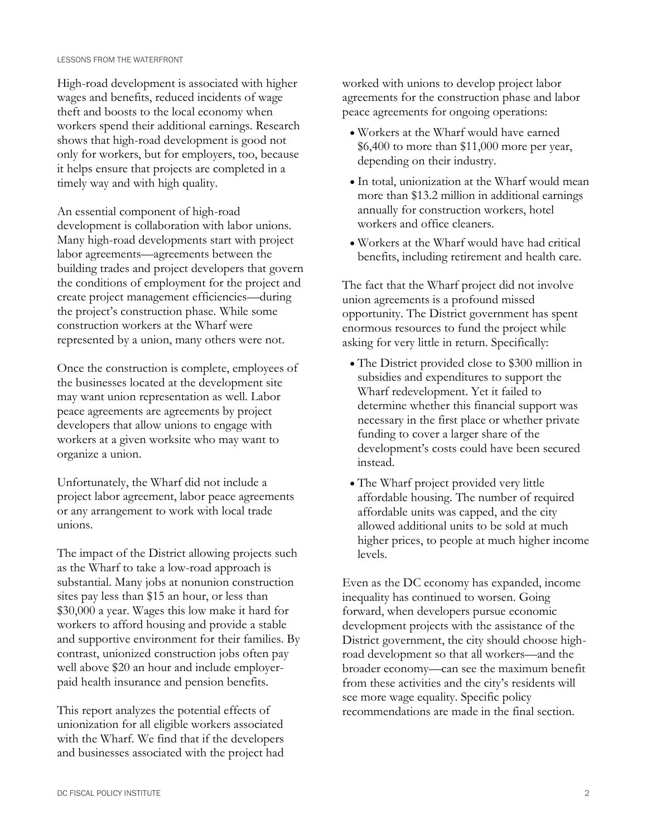High-road development is associated with higher wages and benefits, reduced incidents of wage theft and boosts to the local economy when workers spend their additional earnings. Research shows that high-road development is good not only for workers, but for employers, too, because it helps ensure that projects are completed in a timely way and with high quality.

An essential component of high-road development is collaboration with labor unions. Many high-road developments start with project labor agreements—agreements between the building trades and project developers that govern the conditions of employment for the project and create project management efficiencies—during the project's construction phase. While some construction workers at the Wharf were represented by a union, many others were not.

Once the construction is complete, employees of the businesses located at the development site may want union representation as well. Labor peace agreements are agreements by project developers that allow unions to engage with workers at a given worksite who may want to organize a union.

Unfortunately, the Wharf did not include a project labor agreement, labor peace agreements or any arrangement to work with local trade unions.

The impact of the District allowing projects such as the Wharf to take a low-road approach is substantial. Many jobs at nonunion construction sites pay less than \$15 an hour, or less than \$30,000 a year. Wages this low make it hard for workers to afford housing and provide a stable and supportive environment for their families. By contrast, unionized construction jobs often pay well above \$20 an hour and include employerpaid health insurance and pension benefits.

This report analyzes the potential effects of unionization for all eligible workers associated with the Wharf. We find that if the developers and businesses associated with the project had worked with unions to develop project labor agreements for the construction phase and labor peace agreements for ongoing operations:

- Workers at the Wharf would have earned \$6,400 to more than \$11,000 more per year, depending on their industry.
- In total, unionization at the Wharf would mean more than \$13.2 million in additional earnings annually for construction workers, hotel workers and office cleaners.
- Workers at the Wharf would have had critical benefits, including retirement and health care.

The fact that the Wharf project did not involve union agreements is a profound missed opportunity. The District government has spent enormous resources to fund the project while asking for very little in return. Specifically:

- The District provided close to \$300 million in subsidies and expenditures to support the Wharf redevelopment. Yet it failed to determine whether this financial support was necessary in the first place or whether private funding to cover a larger share of the development's costs could have been secured instead.
- The Wharf project provided very little affordable housing. The number of required affordable units was capped, and the city allowed additional units to be sold at much higher prices, to people at much higher income levels.

Even as the DC economy has expanded, income inequality has continued to worsen. Going forward, when developers pursue economic development projects with the assistance of the District government, the city should choose highroad development so that all workers—and the broader economy—can see the maximum benefit from these activities and the city's residents will see more wage equality. Specific policy recommendations are made in the final section.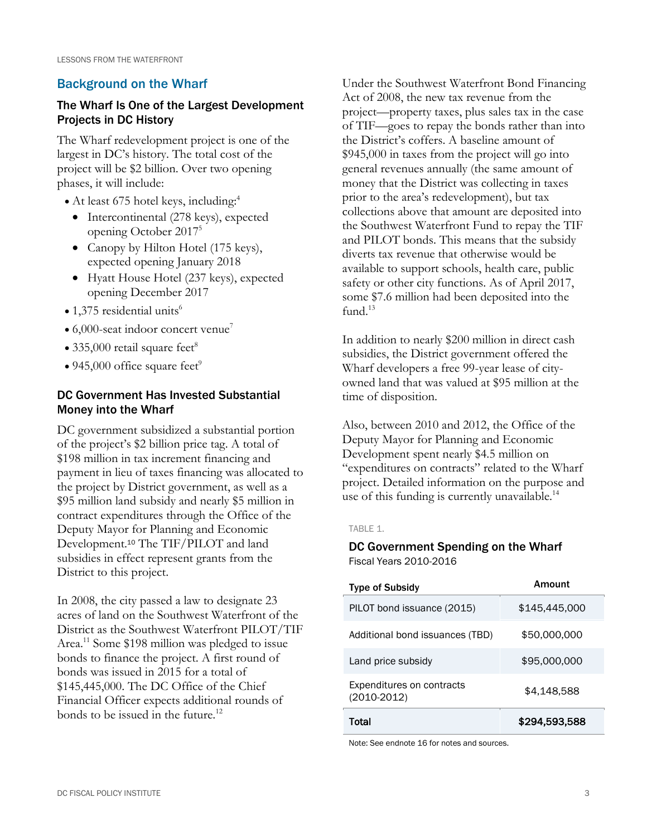# Background on the Wharf

# The Wharf Is One of the Largest Development Projects in DC History

The Wharf redevelopment project is one of the largest in DC's history. The total cost of the project will be \$2 billion. Over two opening phases, it will include:

- At least 675 hotel keys, including:<sup>4</sup>
	- Intercontinental (278 keys), expected opening October 2017<sup>5</sup>
	- Canopy by Hilton Hotel (175 keys), expected opening January 2018
	- Hyatt House Hotel (237 keys), expected opening December 2017
- $\bullet$  1,375 residential units<sup>6</sup>
- $\bullet$  6,000-seat indoor concert venue<sup>7</sup>
- 335,000 retail square feet<sup>8</sup>
- 945,000 office square feet<sup>9</sup>

# DC Government Has Invested Substantial Money into the Wharf

DC government subsidized a substantial portion of the project's \$2 billion price tag. A total of \$198 million in tax increment financing and payment in lieu of taxes financing was allocated to the project by District government, as well as a \$95 million land subsidy and nearly \$5 million in contract expenditures through the Office of the Deputy Mayor for Planning and Economic Development. <sup>10</sup> The TIF/PILOT and land subsidies in effect represent grants from the District to this project.

In 2008, the city passed a law to designate 23 acres of land on the Southwest Waterfront of the District as the Southwest Waterfront PILOT/TIF Area.<sup>11</sup> Some \$198 million was pledged to issue bonds to finance the project. A first round of bonds was issued in 2015 for a total of \$145,445,000. The DC Office of the Chief Financial Officer expects additional rounds of bonds to be issued in the future.<sup>12</sup>

Under the Southwest Waterfront Bond Financing Act of 2008, the new tax revenue from the project—property taxes, plus sales tax in the case of TIF—goes to repay the bonds rather than into the District's coffers. A baseline amount of \$945,000 in taxes from the project will go into general revenues annually (the same amount of money that the District was collecting in taxes prior to the area's redevelopment), but tax collections above that amount are deposited into the Southwest Waterfront Fund to repay the TIF and PILOT bonds. This means that the subsidy diverts tax revenue that otherwise would be available to support schools, health care, public safety or other city functions. As of April 2017, some \$7.6 million had been deposited into the fund. 13

In addition to nearly \$200 million in direct cash subsidies, the District government offered the Wharf developers a free 99-year lease of cityowned land that was valued at \$95 million at the time of disposition.

Also, between 2010 and 2012, the Office of the Deputy Mayor for Planning and Economic Development spent nearly \$4.5 million on "expenditures on contracts" related to the Wharf project. Detailed information on the purpose and use of this funding is currently unavailable.<sup>14</sup>

### TABLE 1.

DC Government Spending on the Wharf Fiscal Years 2010-2016

| <b>Type of Subsidy</b>                            | Amount        |
|---------------------------------------------------|---------------|
| PILOT bond issuance (2015)                        | \$145,445,000 |
| Additional bond issuances (TBD)                   | \$50,000,000  |
| Land price subsidy                                | \$95,000,000  |
| <b>Expenditures on contracts</b><br>$(2010-2012)$ | \$4,148,588   |
| Total                                             | \$294,593,588 |

Note: See endnote 16 for notes and sources.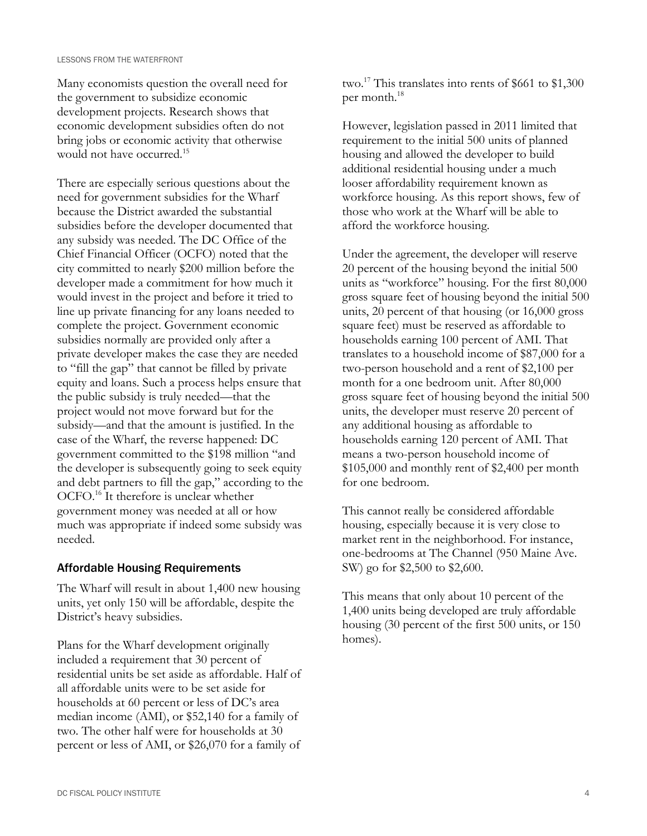Many economists question the overall need for the government to subsidize economic development projects. Research shows that economic development subsidies often do not bring jobs or economic activity that otherwise would not have occurred.<sup>15</sup>

There are especially serious questions about the need for government subsidies for the Wharf because the District awarded the substantial subsidies before the developer documented that any subsidy was needed. The DC Office of the Chief Financial Officer (OCFO) noted that the city committed to nearly \$200 million before the developer made a commitment for how much it would invest in the project and before it tried to line up private financing for any loans needed to complete the project. Government economic subsidies normally are provided only after a private developer makes the case they are needed to "fill the gap" that cannot be filled by private equity and loans. Such a process helps ensure that the public subsidy is truly needed—that the project would not move forward but for the subsidy—and that the amount is justified. In the case of the Wharf, the reverse happened: DC government committed to the \$198 million "and the developer is subsequently going to seek equity and debt partners to fill the gap," according to the OCFO.<sup>16</sup> It therefore is unclear whether government money was needed at all or how much was appropriate if indeed some subsidy was needed.

# Affordable Housing Requirements

The Wharf will result in about 1,400 new housing units, yet only 150 will be affordable, despite the District's heavy subsidies.

Plans for the Wharf development originally included a requirement that 30 percent of residential units be set aside as affordable. Half of all affordable units were to be set aside for households at 60 percent or less of DC's area median income (AMI), or \$52,140 for a family of two. The other half were for households at 30 percent or less of AMI, or \$26,070 for a family of

two.<sup>17</sup> This translates into rents of \$661 to \$1,300 per month.<sup>18</sup>

However, legislation passed in 2011 limited that requirement to the initial 500 units of planned housing and allowed the developer to build additional residential housing under a much looser affordability requirement known as workforce housing. As this report shows, few of those who work at the Wharf will be able to afford the workforce housing.

Under the agreement, the developer will reserve 20 percent of the housing beyond the initial 500 units as "workforce" housing. For the first 80,000 gross square feet of housing beyond the initial 500 units, 20 percent of that housing (or 16,000 gross square feet) must be reserved as affordable to households earning 100 percent of AMI. That translates to a household income of \$87,000 for a two-person household and a rent of \$2,100 per month for a one bedroom unit. After 80,000 gross square feet of housing beyond the initial 500 units, the developer must reserve 20 percent of any additional housing as affordable to households earning 120 percent of AMI. That means a two-person household income of \$105,000 and monthly rent of \$2,400 per month for one bedroom.

This cannot really be considered affordable housing, especially because it is very close to market rent in the neighborhood. For instance, one-bedrooms at The Channel (950 Maine Ave. SW) go for \$2,500 to \$2,600.

This means that only about 10 percent of the 1,400 units being developed are truly affordable housing (30 percent of the first 500 units, or 150 homes).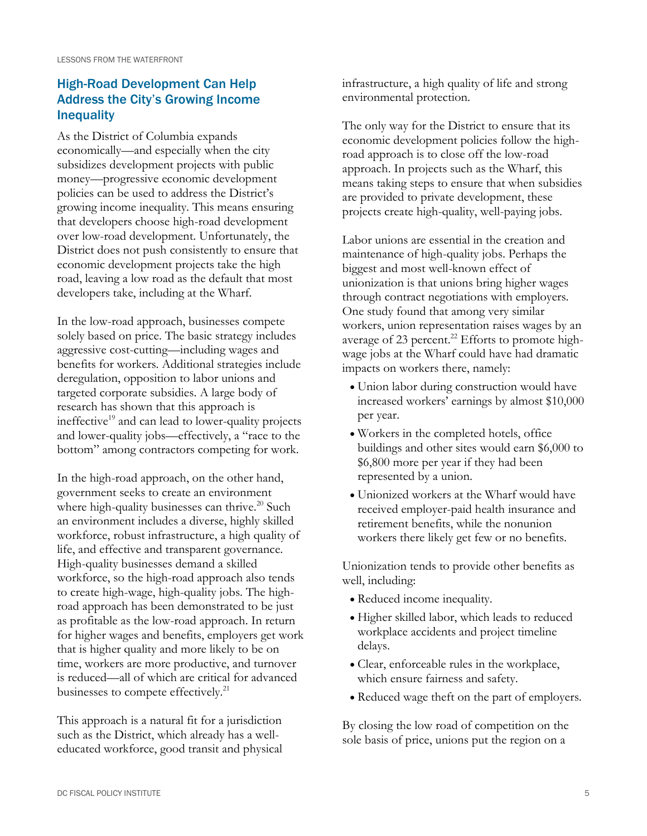# High-Road Development Can Help Address the City's Growing Income **Inequality**

As the District of Columbia expands economically—and especially when the city subsidizes development projects with public money—progressive economic development policies can be used to address the District's growing income inequality. This means ensuring that developers choose high-road development over low-road development. Unfortunately, the District does not push consistently to ensure that economic development projects take the high road, leaving a low road as the default that most developers take, including at the Wharf.

In the low-road approach, businesses compete solely based on price. The basic strategy includes aggressive cost-cutting—including wages and benefits for workers. Additional strategies include deregulation, opposition to labor unions and targeted corporate subsidies. A large body of research has shown that this approach is ineffective $19$  and can lead to lower-quality projects and lower-quality jobs—effectively, a "race to the bottom" among contractors competing for work.

In the high-road approach, on the other hand, government seeks to create an environment where high-quality businesses can thrive.<sup>20</sup> Such an environment includes a diverse, highly skilled workforce, robust infrastructure, a high quality of life, and effective and transparent governance. High-quality businesses demand a skilled workforce, so the high-road approach also tends to create high-wage, high-quality jobs. The highroad approach has been demonstrated to be just as profitable as the low-road approach. In return for higher wages and benefits, employers get work that is higher quality and more likely to be on time, workers are more productive, and turnover is reduced—all of which are critical for advanced businesses to compete effectively.<sup>21</sup>

This approach is a natural fit for a jurisdiction such as the District, which already has a welleducated workforce, good transit and physical infrastructure, a high quality of life and strong environmental protection.

The only way for the District to ensure that its economic development policies follow the highroad approach is to close off the low-road approach. In projects such as the Wharf, this means taking steps to ensure that when subsidies are provided to private development, these projects create high-quality, well-paying jobs.

Labor unions are essential in the creation and maintenance of high-quality jobs. Perhaps the biggest and most well-known effect of unionization is that unions bring higher wages through contract negotiations with employers. One study found that among very similar workers, union representation raises wages by an average of 23 percent.<sup>22</sup> Efforts to promote highwage jobs at the Wharf could have had dramatic impacts on workers there, namely:

- Union labor during construction would have increased workers' earnings by almost \$10,000 per year.
- Workers in the completed hotels, office buildings and other sites would earn \$6,000 to \$6,800 more per year if they had been represented by a union.
- Unionized workers at the Wharf would have received employer-paid health insurance and retirement benefits, while the nonunion workers there likely get few or no benefits.

Unionization tends to provide other benefits as well, including:

- Reduced income inequality.
- Higher skilled labor, which leads to reduced workplace accidents and project timeline delays.
- Clear, enforceable rules in the workplace, which ensure fairness and safety.
- Reduced wage theft on the part of employers.

By closing the low road of competition on the sole basis of price, unions put the region on a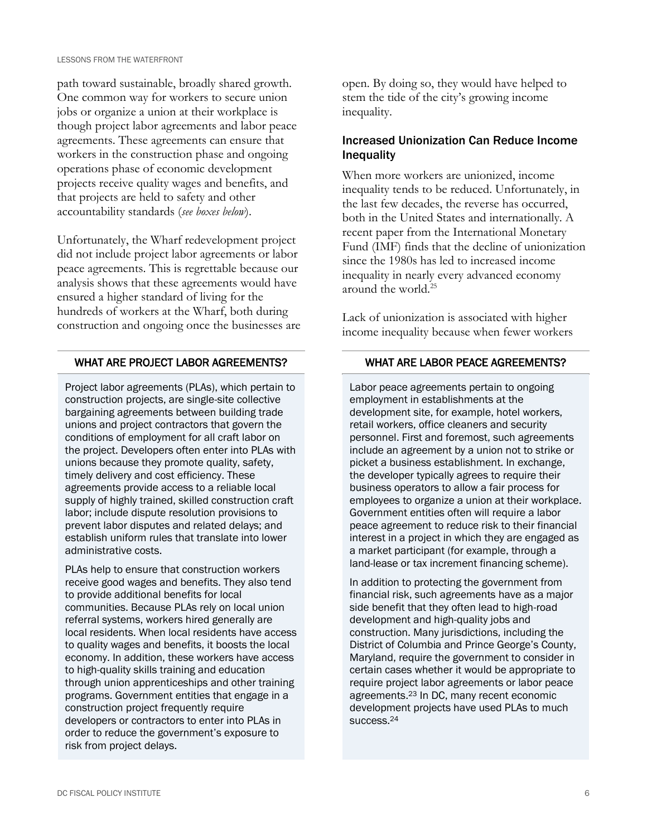path toward sustainable, broadly shared growth. One common way for workers to secure union jobs or organize a union at their workplace is though project labor agreements and labor peace agreements. These agreements can ensure that workers in the construction phase and ongoing operations phase of economic development projects receive quality wages and benefits, and that projects are held to safety and other accountability standards (*see boxes below*).

Unfortunately, the Wharf redevelopment project did not include project labor agreements or labor peace agreements. This is regrettable because our analysis shows that these agreements would have ensured a higher standard of living for the hundreds of workers at the Wharf, both during construction and ongoing once the businesses are

### WHAT ARE PROJECT LABOR AGREEMENTS?

Project labor agreements (PLAs), which pertain to construction projects, are single-site collective bargaining agreements between building trade unions and project contractors that govern the conditions of employment for all craft labor on the project. Developers often enter into PLAs with unions because they promote quality, safety, timely delivery and cost efficiency. These agreements provide access to a reliable local supply of highly trained, skilled construction craft labor; include dispute resolution provisions to prevent labor disputes and related delays; and establish uniform rules that translate into lower administrative costs.

PLAs help to ensure that construction workers receive good wages and benefits. They also tend to provide additional benefits for local communities. Because PLAs rely on local union referral systems, workers hired generally are local residents. When local residents have access to quality wages and benefits, it boosts the local economy. In addition, these workers have access to high-quality skills training and education through union apprenticeships and other training programs. Government entities that engage in a construction project frequently require developers or contractors to enter into PLAs in order to reduce the government's exposure to risk from project delays.

open. By doing so, they would have helped to stem the tide of the city's growing income inequality.

# Increased Unionization Can Reduce Income Inequality

When more workers are unionized, income inequality tends to be reduced. Unfortunately, in the last few decades, the reverse has occurred, both in the United States and internationally. A recent paper from the International Monetary Fund (IMF) finds that the decline of unionization since the 1980s has led to increased income inequality in nearly every advanced economy around the world.<sup>25</sup>

Lack of unionization is associated with higher income inequality because when fewer workers

# WHAT ARE LABOR PEACE AGREEMENTS?

Labor peace agreements pertain to ongoing employment in establishments at the development site, for example, hotel workers, retail workers, office cleaners and security personnel. First and foremost, such agreements include an agreement by a union not to strike or picket a business establishment. In exchange, the developer typically agrees to require their business operators to allow a fair process for employees to organize a union at their workplace. Government entities often will require a labor peace agreement to reduce risk to their financial interest in a project in which they are engaged as a market participant (for example, through a land-lease or tax increment financing scheme).

In addition to protecting the government from financial risk, such agreements have as a major side benefit that they often lead to high-road development and high-quality jobs and construction. Many jurisdictions, including the District of Columbia and Prince George's County, Maryland, require the government to consider in certain cases whether it would be appropriate to require project labor agreements or labor peace agreements.<sup>23</sup> In DC, many recent economic development projects have used PLAs to much success.24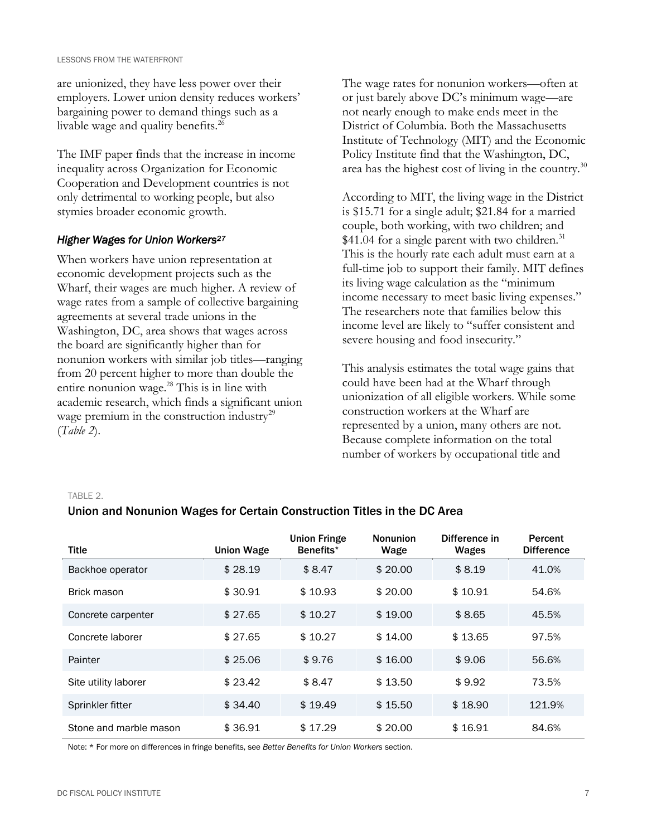are unionized, they have less power over their employers. Lower union density reduces workers' bargaining power to demand things such as a livable wage and quality benefits.<sup>26</sup>

The IMF paper finds that the increase in income inequality across Organization for Economic Cooperation and Development countries is not only detrimental to working people, but also stymies broader economic growth.

### *Higher Wages for Union Workers<sup>27</sup>*

When workers have union representation at economic development projects such as the Wharf, their wages are much higher. A review of wage rates from a sample of collective bargaining agreements at several trade unions in the Washington, DC, area shows that wages across the board are significantly higher than for nonunion workers with similar job titles—ranging from 20 percent higher to more than double the entire nonunion wage.<sup>28</sup> This is in line with academic research, which finds a significant union wage premium in the construction industry<sup>29</sup> (*Table 2*).

The wage rates for nonunion workers—often at or just barely above DC's minimum wage—are not nearly enough to make ends meet in the District of Columbia. Both the Massachusetts Institute of Technology (MIT) and the Economic Policy Institute find that the Washington, DC, area has the highest cost of living in the country. $30$ 

According to MIT, the living wage in the District is \$15.71 for a single adult; \$21.84 for a married couple, both working, with two children; and  $$41.04$  for a single parent with two children.<sup>31</sup> This is the hourly rate each adult must earn at a full-time job to support their family. MIT defines its living wage calculation as the "minimum income necessary to meet basic living expenses." The researchers note that families below this income level are likely to "suffer consistent and severe housing and food insecurity."

This analysis estimates the total wage gains that could have been had at the Wharf through unionization of all eligible workers. While some construction workers at the Wharf are represented by a union, many others are not. Because complete information on the total number of workers by occupational title and

#### TABLE 2.

# Union and Nonunion Wages for Certain Construction Titles in the DC Area

| <b>Title</b>           | <b>Union Wage</b> | <b>Union Fringe</b><br>Benefits <sup>*</sup> | <b>Nonunion</b><br>Wage | Difference in<br>Wages | Percent<br><b>Difference</b> |
|------------------------|-------------------|----------------------------------------------|-------------------------|------------------------|------------------------------|
| Backhoe operator       | \$28.19           | \$8.47                                       | \$20.00                 | \$8.19                 | 41.0%                        |
| Brick mason            | \$30.91           | \$10.93                                      | \$20.00                 | \$10.91                | 54.6%                        |
| Concrete carpenter     | \$27.65           | \$10.27                                      | \$19.00                 | \$8.65                 | 45.5%                        |
| Concrete laborer       | \$27.65           | \$10.27                                      | \$14.00                 | \$13.65                | 97.5%                        |
| Painter                | \$25.06           | \$9.76                                       | \$16.00                 | \$9.06                 | 56.6%                        |
| Site utility laborer   | \$23.42           | \$8.47                                       | \$13.50                 | \$9.92                 | 73.5%                        |
| Sprinkler fitter       | \$34.40           | \$19.49                                      | \$15.50                 | \$18.90                | 121.9%                       |
| Stone and marble mason | \$36.91           | \$17.29                                      | \$20.00                 | \$16.91                | 84.6%                        |

Note: \* For more on differences in fringe benefits, see *Better Benefits for Union Workers* section.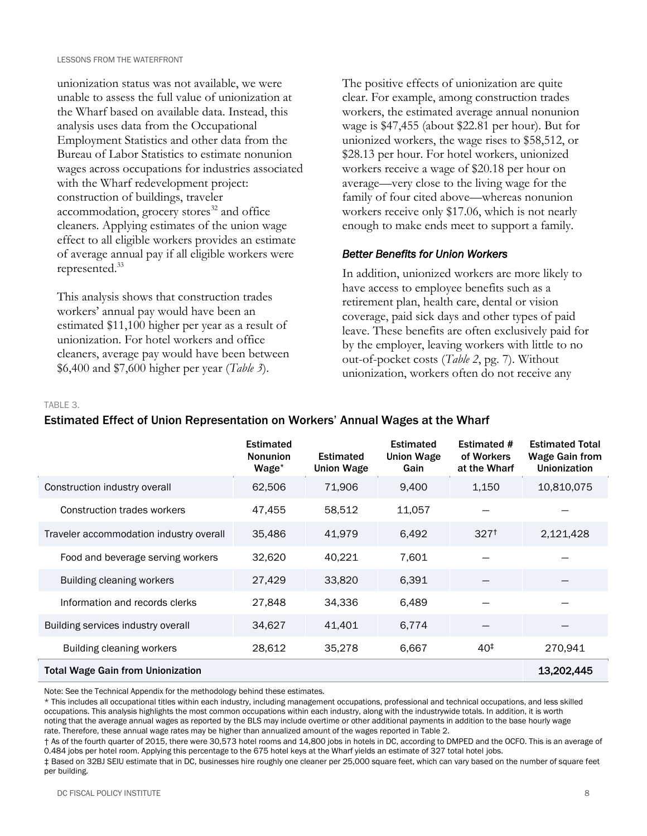unionization status was not available, we were unable to assess the full value of unionization at the Wharf based on available data. Instead, this analysis uses data from the Occupational Employment Statistics and other data from the Bureau of Labor Statistics to estimate nonunion wages across occupations for industries associated with the Wharf redevelopment project: construction of buildings, traveler accommodation, grocery stores<sup>32</sup> and office cleaners. Applying estimates of the union wage effect to all eligible workers provides an estimate of average annual pay if all eligible workers were represented.<sup>33</sup>

This analysis shows that construction trades workers' annual pay would have been an estimated \$11,100 higher per year as a result of unionization. For hotel workers and office cleaners, average pay would have been between \$6,400 and \$7,600 higher per year (*Table 3*).

The positive effects of unionization are quite clear. For example, among construction trades workers, the estimated average annual nonunion wage is \$47,455 (about \$22.81 per hour). But for unionized workers, the wage rises to \$58,512, or \$28.13 per hour. For hotel workers, unionized workers receive a wage of \$20.18 per hour on average—very close to the living wage for the family of four cited above—whereas nonunion workers receive only \$17.06, which is not nearly enough to make ends meet to support a family.

# *Better Benefits for Union Workers*

In addition, unionized workers are more likely to have access to employee benefits such as a retirement plan, health care, dental or vision coverage, paid sick days and other types of paid leave. These benefits are often exclusively paid for by the employer, leaving workers with little to no out-of-pocket costs (*Table 2*, pg. 7). Without unionization, workers often do not receive any

TABLE 3.

#### Estimated **Nonunion** Wage\* Estimated Union Wage Estimated Union Wage Gain Estimated # of Workers at the Wharf Estimated Total Wage Gain from Unionization Construction industry overall 62,506 71,906 9,400 1,150 10,810,075 Construction trades workers  $47,455$   $58,512$   $11,057$ Traveler accommodation industry overall 35,486 41,979 6,492 327<sup>†</sup> 3,121,428 Food and beverage serving workers  $32,620$  40,221  $7,601$ Building cleaning workers 27,429 33,820 6,391 Information and records clerks 27,848 34,336 6,489 Building services industry overall and  $34,627$   $41,401$  6,774 Building cleaning workers 28,612 35,278 6,667 40‡ 270,941 Total Wage Gain from Unionization 13,202,445

Estimated Effect of Union Representation on Workers' Annual Wages at the Wharf

Note: See the Technical Appendix for the methodology behind these estimates.

\* This includes all occupational titles within each industry, including management occupations, professional and technical occupations, and less skilled occupations. This analysis highlights the most common occupations within each industry, along with the industrywide totals. In addition, it is worth noting that the average annual wages as reported by the BLS may include overtime or other additional payments in addition to the base hourly wage rate. Therefore, these annual wage rates may be higher than annualized amount of the wages reported in Table 2.

† As of the fourth quarter of 2015, there were 30,573 hotel rooms and 14,800 jobs in hotels in DC, according to DMPED and the OCFO. This is an average of 0.484 jobs per hotel room. Applying this percentage to the 675 hotel keys at the Wharf yields an estimate of 327 total hotel jobs.

‡ Based on 32BJ SEIU estimate that in DC, businesses hire roughly one cleaner per 25,000 square feet, which can vary based on the number of square feet per building.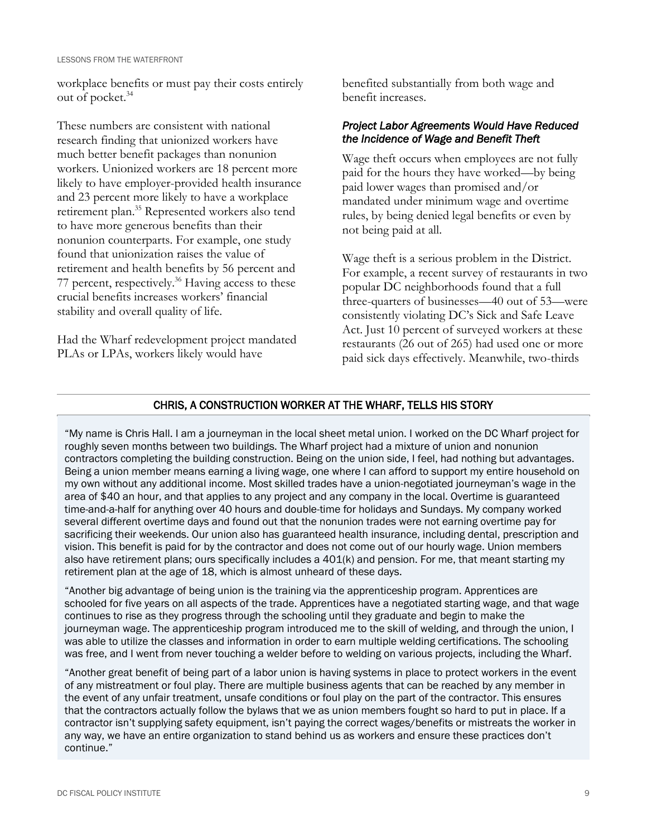workplace benefits or must pay their costs entirely out of pocket.<sup>34</sup>

These numbers are consistent with national research finding that unionized workers have much better benefit packages than nonunion workers. Unionized workers are 18 percent more likely to have employer-provided health insurance and 23 percent more likely to have a workplace retirement plan.<sup>35</sup> Represented workers also tend to have more generous benefits than their nonunion counterparts. For example, one study found that unionization raises the value of retirement and health benefits by 56 percent and 77 percent, respectively.<sup>36</sup> Having access to these crucial benefits increases workers' financial stability and overall quality of life.

Had the Wharf redevelopment project mandated PLAs or LPAs, workers likely would have

benefited substantially from both wage and benefit increases.

# *Project Labor Agreements Would Have Reduced the Incidence of Wage and Benefit Theft*

Wage theft occurs when employees are not fully paid for the hours they have worked—by being paid lower wages than promised and/or mandated under minimum wage and overtime rules, by being denied legal benefits or even by not being paid at all.

Wage theft is a serious problem in the District. For example, a recent survey of restaurants in two popular DC neighborhoods found that a full three-quarters of businesses—40 out of 53—were consistently violating DC's Sick and Safe Leave Act. Just 10 percent of surveyed workers at these restaurants (26 out of 265) had used one or more paid sick days effectively. Meanwhile, two-thirds

# CHRIS, A CONSTRUCTION WORKER AT THE WHARF, TELLS HIS STORY

"My name is Chris Hall. I am a journeyman in the local sheet metal union. I worked on the DC Wharf project for roughly seven months between two buildings. The Wharf project had a mixture of union and nonunion contractors completing the building construction. Being on the union side, I feel, had nothing but advantages. Being a union member means earning a living wage, one where I can afford to support my entire household on my own without any additional income. Most skilled trades have a union-negotiated journeyman's wage in the area of \$40 an hour, and that applies to any project and any company in the local. Overtime is guaranteed time-and-a-half for anything over 40 hours and double-time for holidays and Sundays. My company worked several different overtime days and found out that the nonunion trades were not earning overtime pay for sacrificing their weekends. Our union also has guaranteed health insurance, including dental, prescription and vision. This benefit is paid for by the contractor and does not come out of our hourly wage. Union members also have retirement plans; ours specifically includes a 401(k) and pension. For me, that meant starting my retirement plan at the age of 18, which is almost unheard of these days.

"Another big advantage of being union is the training via the apprenticeship program. Apprentices are schooled for five years on all aspects of the trade. Apprentices have a negotiated starting wage, and that wage continues to rise as they progress through the schooling until they graduate and begin to make the journeyman wage. The apprenticeship program introduced me to the skill of welding, and through the union, I was able to utilize the classes and information in order to earn multiple welding certifications. The schooling was free, and I went from never touching a welder before to welding on various projects, including the Wharf.

"Another great benefit of being part of a labor union is having systems in place to protect workers in the event of any mistreatment or foul play. There are multiple business agents that can be reached by any member in the event of any unfair treatment, unsafe conditions or foul play on the part of the contractor. This ensures that the contractors actually follow the bylaws that we as union members fought so hard to put in place. If a contractor isn't supplying safety equipment, isn't paying the correct wages/benefits or mistreats the worker in any way, we have an entire organization to stand behind us as workers and ensure these practices don't continue."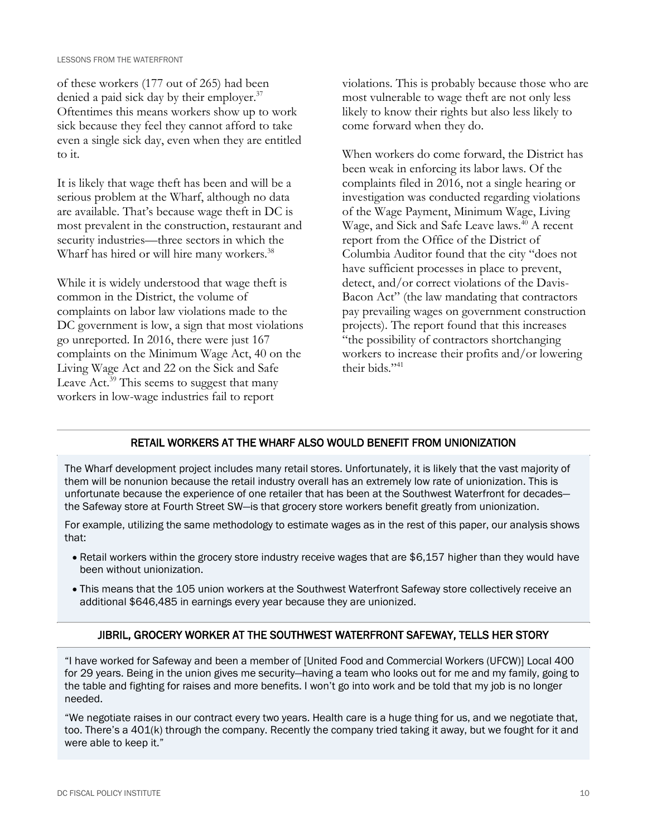of these workers (177 out of 265) had been denied a paid sick day by their employer.<sup>37</sup> Oftentimes this means workers show up to work sick because they feel they cannot afford to take even a single sick day, even when they are entitled to it.

It is likely that wage theft has been and will be a serious problem at the Wharf, although no data are available. That's because wage theft in DC is most prevalent in the construction, restaurant and security industries—three sectors in which the Wharf has hired or will hire many workers.<sup>38</sup>

While it is widely understood that wage theft is common in the District, the volume of complaints on labor law violations made to the DC government is low, a sign that most violations go unreported. In 2016, there were just 167 complaints on the Minimum Wage Act, 40 on the Living Wage Act and 22 on the Sick and Safe Leave Act.<sup>39</sup> This seems to suggest that many workers in low-wage industries fail to report

violations. This is probably because those who are most vulnerable to wage theft are not only less likely to know their rights but also less likely to come forward when they do.

When workers do come forward, the District has been weak in enforcing its labor laws. Of the complaints filed in 2016, not a single hearing or investigation was conducted regarding violations of the Wage Payment, Minimum Wage, Living Wage, and Sick and Safe Leave laws.<sup>40</sup> A recent report from the Office of the District of Columbia Auditor found that the city "does not have sufficient processes in place to prevent, detect, and/or correct violations of the Davis-Bacon Act" (the law mandating that contractors pay prevailing wages on government construction projects). The report found that this increases "the possibility of contractors shortchanging workers to increase their profits and/or lowering their bids."<sup>41</sup>

# RETAIL WORKERS AT THE WHARF ALSO WOULD BENEFIT FROM UNIONIZATION

The Wharf development project includes many retail stores. Unfortunately, it is likely that the vast majority of them will be nonunion because the retail industry overall has an extremely low rate of unionization. This is unfortunate because the experience of one retailer that has been at the Southwest Waterfront for decades the Safeway store at Fourth Street SW—is that grocery store workers benefit greatly from unionization.

For example, utilizing the same methodology to estimate wages as in the rest of this paper, our analysis shows that:

- Retail workers within the grocery store industry receive wages that are \$6,157 higher than they would have been without unionization.
- This means that the 105 union workers at the Southwest Waterfront Safeway store collectively receive an additional \$646,485 in earnings every year because they are unionized.

# JIBRIL, GROCERY WORKER AT THE SOUTHWEST WATERFRONT SAFEWAY, TELLS HER STORY

"I have worked for Safeway and been a member of [United Food and Commercial Workers (UFCW)] Local 400 for 29 years. Being in the union gives me security—having a team who looks out for me and my family, going to the table and fighting for raises and more benefits. I won't go into work and be told that my job is no longer needed.

"We negotiate raises in our contract every two years. Health care is a huge thing for us, and we negotiate that, too. There's a 401(k) through the company. Recently the company tried taking it away, but we fought for it and were able to keep it."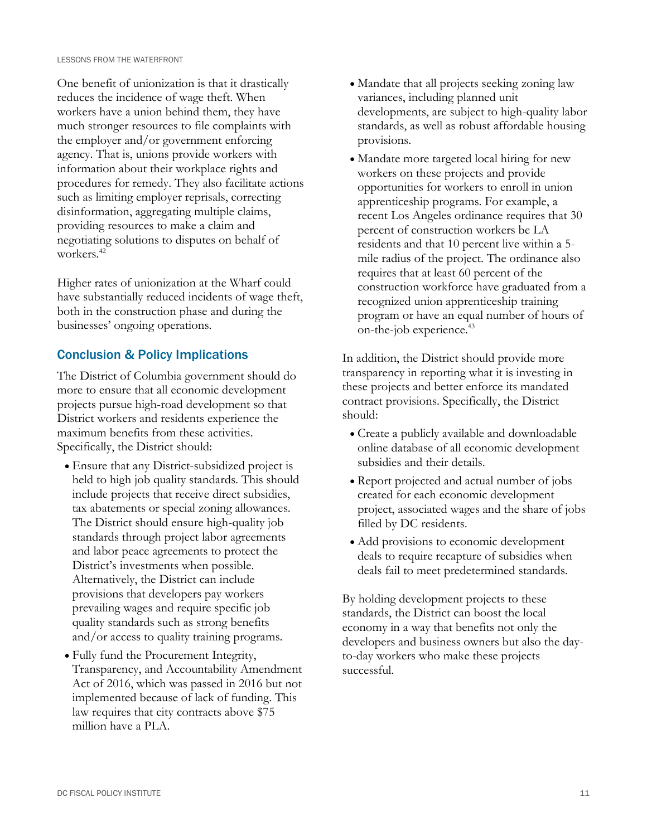One benefit of unionization is that it drastically reduces the incidence of wage theft. When workers have a union behind them, they have much stronger resources to file complaints with the employer and/or government enforcing agency. That is, unions provide workers with information about their workplace rights and procedures for remedy. They also facilitate actions such as limiting employer reprisals, correcting disinformation, aggregating multiple claims, providing resources to make a claim and negotiating solutions to disputes on behalf of workers.<sup>42</sup>

Higher rates of unionization at the Wharf could have substantially reduced incidents of wage theft, both in the construction phase and during the businesses' ongoing operations.

# Conclusion & Policy Implications

The District of Columbia government should do more to ensure that all economic development projects pursue high-road development so that District workers and residents experience the maximum benefits from these activities. Specifically, the District should:

- Ensure that any District-subsidized project is held to high job quality standards. This should include projects that receive direct subsidies, tax abatements or special zoning allowances. The District should ensure high-quality job standards through project labor agreements and labor peace agreements to protect the District's investments when possible. Alternatively, the District can include provisions that developers pay workers prevailing wages and require specific job quality standards such as strong benefits and/or access to quality training programs.
- Fully fund the Procurement Integrity, Transparency, and Accountability Amendment Act of 2016, which was passed in 2016 but not implemented because of lack of funding. This law requires that city contracts above \$75 million have a PLA.
- Mandate that all projects seeking zoning law variances, including planned unit developments, are subject to high-quality labor standards, as well as robust affordable housing provisions.
- Mandate more targeted local hiring for new workers on these projects and provide opportunities for workers to enroll in union apprenticeship programs. For example, a recent Los Angeles ordinance requires that 30 percent of construction workers be LA residents and that 10 percent live within a 5 mile radius of the project. The ordinance also requires that at least 60 percent of the construction workforce have graduated from a recognized union apprenticeship training program or have an equal number of hours of on-the-job experience.<sup>43</sup>

In addition, the District should provide more transparency in reporting what it is investing in these projects and better enforce its mandated contract provisions. Specifically, the District should:

- Create a publicly available and downloadable online database of all economic development subsidies and their details.
- Report projected and actual number of jobs created for each economic development project, associated wages and the share of jobs filled by DC residents.
- Add provisions to economic development deals to require recapture of subsidies when deals fail to meet predetermined standards.

By holding development projects to these standards, the District can boost the local economy in a way that benefits not only the developers and business owners but also the dayto-day workers who make these projects successful.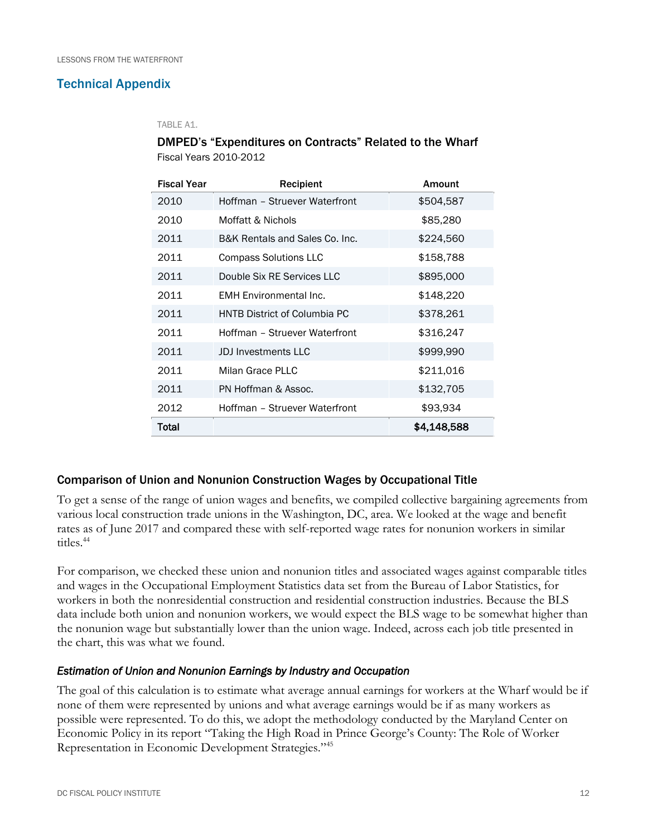# Technical Appendix

#### TABLE A1.

# DMPED's "Expenditures on Contracts" Related to the Wharf Fiscal Years 2010-2012

| <b>Fiscal Year</b> | Recipient                           | Amount      |  |
|--------------------|-------------------------------------|-------------|--|
| 2010               | Hoffman - Struever Waterfront       | \$504,587   |  |
| 2010               | Moffatt & Nichols                   | \$85,280    |  |
| 2011               | B&K Rentals and Sales Co. Inc.      | \$224,560   |  |
| 2011               | Compass Solutions LLC               | \$158,788   |  |
| 2011               | Double Six RE Services LLC          | \$895,000   |  |
| 2011               | <b>EMH</b> Environmental Inc.       | \$148,220   |  |
| 2011               | <b>HNTB District of Columbia PC</b> | \$378,261   |  |
| 2011               | Hoffman - Struever Waterfront       | \$316,247   |  |
| 2011               | <b>JDJ</b> Investments LLC          | \$999,990   |  |
| 2011               | Milan Grace PLLC                    | \$211,016   |  |
| 2011               | PN Hoffman & Assoc.                 | \$132,705   |  |
| 2012               | Hoffman - Struever Waterfront       | \$93,934    |  |
| Total              |                                     | \$4,148,588 |  |

# Comparison of Union and Nonunion Construction Wages by Occupational Title

To get a sense of the range of union wages and benefits, we compiled collective bargaining agreements from various local construction trade unions in the Washington, DC, area. We looked at the wage and benefit rates as of June 2017 and compared these with self-reported wage rates for nonunion workers in similar titles.<sup>44</sup>

For comparison, we checked these union and nonunion titles and associated wages against comparable titles and wages in the Occupational Employment Statistics data set from the Bureau of Labor Statistics, for workers in both the nonresidential construction and residential construction industries. Because the BLS data include both union and nonunion workers, we would expect the BLS wage to be somewhat higher than the nonunion wage but substantially lower than the union wage. Indeed, across each job title presented in the chart, this was what we found.

### *Estimation of Union and Nonunion Earnings by Industry and Occupation*

The goal of this calculation is to estimate what average annual earnings for workers at the Wharf would be if none of them were represented by unions and what average earnings would be if as many workers as possible were represented. To do this, we adopt the methodology conducted by the Maryland Center on Economic Policy in its report "Taking the High Road in Prince George's County: The Role of Worker Representation in Economic Development Strategies."<sup>45</sup>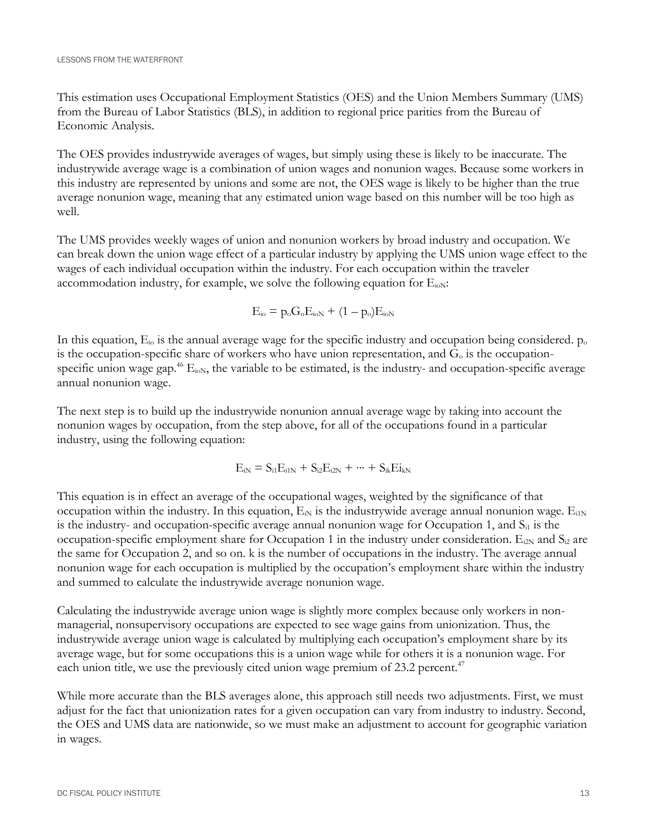This estimation uses Occupational Employment Statistics (OES) and the Union Members Summary (UMS) from the Bureau of Labor Statistics (BLS), in addition to regional price parities from the Bureau of Economic Analysis.

The OES provides industrywide averages of wages, but simply using these is likely to be inaccurate. The industrywide average wage is a combination of union wages and nonunion wages. Because some workers in this industry are represented by unions and some are not, the OES wage is likely to be higher than the true average nonunion wage, meaning that any estimated union wage based on this number will be too high as well.

The UMS provides weekly wages of union and nonunion workers by broad industry and occupation. We can break down the union wage effect of a particular industry by applying the UMS union wage effect to the wages of each individual occupation within the industry. For each occupation within the traveler accommodation industry, for example, we solve the following equation for  $E_{i0N}$ :

$$
E_{io} = p_o G_o E_{ioN} + (1 - p_o) E_{ioN}
$$

In this equation,  $E_{io}$  is the annual average wage for the specific industry and occupation being considered.  $p_o$ is the occupation-specific share of workers who have union representation, and  $G_0$  is the occupationspecific union wage gap.<sup>46</sup>  $E<sub>i</sub>$ <sub>0N</sub>, the variable to be estimated, is the industry- and occupation-specific average annual nonunion wage.

The next step is to build up the industrywide nonunion annual average wage by taking into account the nonunion wages by occupation, from the step above, for all of the occupations found in a particular industry, using the following equation:

$$
E_{iN}=S_{i1}E_{i1N}+S_{i2}E_{i2N}+\cdots+S_{ik}Ei_{kN}
$$

This equation is in effect an average of the occupational wages, weighted by the significance of that occupation within the industry. In this equation,  $E_N$  is the industrywide average annual nonunion wage.  $E_{i1N}$ is the industry- and occupation-specific average annual nonunion wage for Occupation 1, and  $S_{i1}$  is the occupation-specific employment share for Occupation 1 in the industry under consideration.  $E_{i2N}$  and  $S_{i2}$  are the same for Occupation 2, and so on. k is the number of occupations in the industry. The average annual nonunion wage for each occupation is multiplied by the occupation's employment share within the industry and summed to calculate the industrywide average nonunion wage.

Calculating the industrywide average union wage is slightly more complex because only workers in nonmanagerial, nonsupervisory occupations are expected to see wage gains from unionization. Thus, the industrywide average union wage is calculated by multiplying each occupation's employment share by its average wage, but for some occupations this is a union wage while for others it is a nonunion wage. For each union title, we use the previously cited union wage premium of 23.2 percent.<sup>47</sup>

While more accurate than the BLS averages alone, this approach still needs two adjustments. First, we must adjust for the fact that unionization rates for a given occupation can vary from industry to industry. Second, the OES and UMS data are nationwide, so we must make an adjustment to account for geographic variation in wages.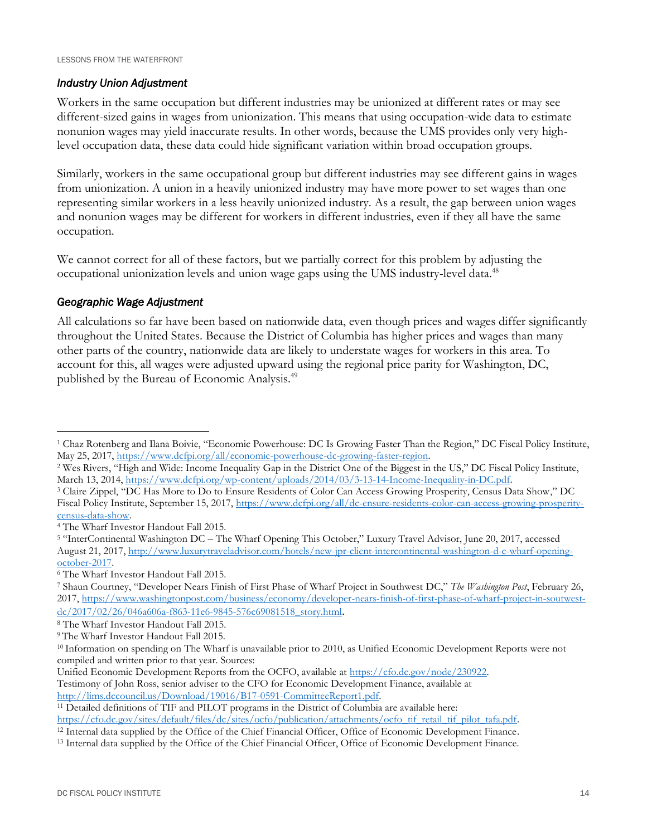# *Industry Union Adjustment*

Workers in the same occupation but different industries may be unionized at different rates or may see different-sized gains in wages from unionization. This means that using occupation-wide data to estimate nonunion wages may yield inaccurate results. In other words, because the UMS provides only very highlevel occupation data, these data could hide significant variation within broad occupation groups.

Similarly, workers in the same occupational group but different industries may see different gains in wages from unionization. A union in a heavily unionized industry may have more power to set wages than one representing similar workers in a less heavily unionized industry. As a result, the gap between union wages and nonunion wages may be different for workers in different industries, even if they all have the same occupation.

We cannot correct for all of these factors, but we partially correct for this problem by adjusting the occupational unionization levels and union wage gaps using the UMS industry-level data.<sup>48</sup>

### *Geographic Wage Adjustment*

 $\overline{a}$ 

All calculations so far have been based on nationwide data, even though prices and wages differ significantly throughout the United States. Because the District of Columbia has higher prices and wages than many other parts of the country, nationwide data are likely to understate wages for workers in this area. To account for this, all wages were adjusted upward using the regional price parity for Washington, DC, published by the Bureau of Economic Analysis.<sup>49</sup>

<sup>6</sup> The Wharf Investor Handout Fall 2015.

<sup>1</sup> Chaz Rotenberg and Ilana Boivie, "Economic Powerhouse: DC Is Growing Faster Than the Region," DC Fiscal Policy Institute, May 25, 2017, [https://www.dcfpi.org/all/economic-powerhouse-dc-growing-faster-region.](https://www.dcfpi.org/all/economic-powerhouse-dc-growing-faster-region)

<sup>2</sup> Wes Rivers, "High and Wide: Income Inequality Gap in the District One of the Biggest in the US," DC Fiscal Policy Institute, March 13, 2014, [https://www.dcfpi.org/wp-content/uploads/2014/03/3-13-14-Income-Inequality-in-DC.pdf.](https://www.dcfpi.org/wp-content/uploads/2014/03/3-13-14-Income-Inequality-in-DC.pdf)

<sup>3</sup> Claire Zippel, "DC Has More to Do to Ensure Residents of Color Can Access Growing Prosperity, Census Data Show," DC Fiscal Policy Institute, September 15, 2017, [https://www.dcfpi.org/all/dc-ensure-residents-color-can-access-growing-prosperity](https://www.dcfpi.org/all/dc-ensure-residents-color-can-access-growing-prosperity-census-data-show)[census-data-show.](https://www.dcfpi.org/all/dc-ensure-residents-color-can-access-growing-prosperity-census-data-show)

<sup>4</sup> The Wharf Investor Handout Fall 2015.

<sup>5</sup> "InterContinental Washington DC – The Wharf Opening This October," Luxury Travel Advisor, June 20, 2017, accessed August 21, 2017[, http://www.luxurytraveladvisor.com/hotels/new-jpr-client-intercontinental-washington-d-c-wharf-opening](http://www.luxurytraveladvisor.com/hotels/new-jpr-client-intercontinental-washington-d-c-wharf-opening-october-2017)[october-2017.](http://www.luxurytraveladvisor.com/hotels/new-jpr-client-intercontinental-washington-d-c-wharf-opening-october-2017)

<sup>7</sup> Shaun Courtney, "Developer Nears Finish of First Phase of Wharf Project in Southwest DC," *The Washington Post*, February 26, 2017, [https://www.washingtonpost.com/business/economy/developer-nears-finish-of-first-phase-of-wharf-project-in-soutwest](https://www.washingtonpost.com/business/economy/developer-nears-finish-of-first-phase-of-wharf-project-in-soutwest-dc/2017/02/26/046a606a-f863-11e6-9845-576c69081518_story.html)[dc/2017/02/26/046a606a-f863-11e6-9845-576c69081518\\_story.html](https://www.washingtonpost.com/business/economy/developer-nears-finish-of-first-phase-of-wharf-project-in-soutwest-dc/2017/02/26/046a606a-f863-11e6-9845-576c69081518_story.html).

<sup>8</sup> The Wharf Investor Handout Fall 2015.

<sup>9</sup> The Wharf Investor Handout Fall 2015.

<sup>10</sup> Information on spending on The Wharf is unavailable prior to 2010, as Unified Economic Development Reports were not compiled and written prior to that year. Sources:

Unified Economic Development Reports from the OCFO, available at [https://cfo.dc.gov/node/230922.](https://cfo.dc.gov/node/230922)

Testimony of John Ross, senior adviser to the CFO for Economic Development Finance, available at [http://lims.dccouncil.us/Download/19016/B17-0591-CommitteeReport1.pdf.](http://lims.dccouncil.us/Download/19016/B17-0591-CommitteeReport1.pdf) 

<sup>11</sup> Detailed definitions of TIF and PILOT programs in the District of Columbia are available here: [https://cfo.dc.gov/sites/default/files/dc/sites/ocfo/publication/attachments/ocfo\\_tif\\_retail\\_tif\\_pilot\\_tafa.pdf.](https://cfo.dc.gov/sites/default/files/dc/sites/ocfo/publication/attachments/ocfo_tif_retail_tif_pilot_tafa.pdf)

<sup>&</sup>lt;sup>12</sup> Internal data supplied by the Office of the Chief Financial Officer, Office of Economic Development Finance.

<sup>13</sup> Internal data supplied by the Office of the Chief Financial Officer, Office of Economic Development Finance.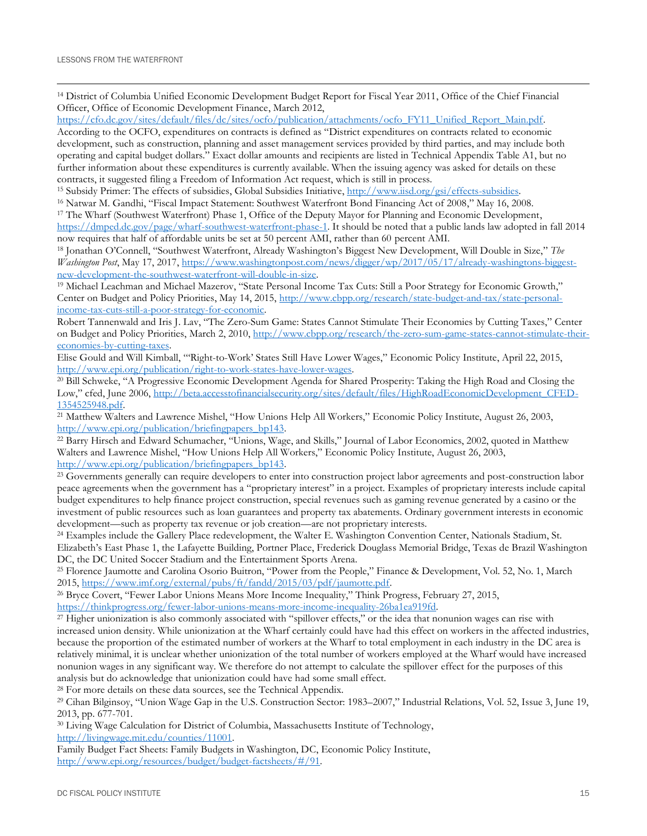$\overline{a}$ <sup>14</sup> District of Columbia Unified Economic Development Budget Report for Fiscal Year 2011, Office of the Chief Financial Officer, Office of Economic Development Finance, March 2012,

[https://cfo.dc.gov/sites/default/files/dc/sites/ocfo/publication/attachments/ocfo\\_FY11\\_Unified\\_Report\\_Main.pdf.](https://cfo.dc.gov/sites/default/files/dc/sites/ocfo/publication/attachments/ocfo_FY11_Unified_Report_Main.pdf)

According to the OCFO, expenditures on contracts is defined as "District expenditures on contracts related to economic development, such as construction, planning and asset management services provided by third parties, and may include both operating and capital budget dollars." Exact dollar amounts and recipients are listed in Technical Appendix Table A1, but no further information about these expenditures is currently available. When the issuing agency was asked for details on these contracts, it suggested filing a Freedom of Information Act request, which is still in process.

<sup>15</sup> Subsidy Primer: The effects of subsidies, Global Subsidies Initiative, [http://www.iisd.org/gsi/effects-subsidies.](http://www.iisd.org/gsi/effects-subsidies)

<sup>16</sup> Natwar M. Gandhi, "Fiscal Impact Statement: Southwest Waterfront Bond Financing Act of 2008," May 16, 2008.

<sup>17</sup> The Wharf (Southwest Waterfront) Phase 1, Office of the Deputy Mayor for Planning and Economic Development, [https://dmped.dc.gov/page/wharf-southwest-waterfront-phase-1.](https://dmped.dc.gov/page/wharf-southwest-waterfront-phase-1) It should be noted that a public lands law adopted in fall 2014 now requires that half of affordable units be set at 50 percent AMI, rather than 60 percent AMI.

<sup>18</sup> Jonathan O'Connell, "Southwest Waterfront, Already Washington's Biggest New Development, Will Double in Size," *The Washington Post*, May 17, 2017, [https://www.washingtonpost.com/news/digger/wp/2017/05/17/already-washingtons-biggest](https://www.washingtonpost.com/news/digger/wp/2017/05/17/already-washingtons-biggest-new-development-the-southwest-waterfront-will-double-in-size)[new-development-the-southwest-waterfront-will-double-in-size.](https://www.washingtonpost.com/news/digger/wp/2017/05/17/already-washingtons-biggest-new-development-the-southwest-waterfront-will-double-in-size) 

<sup>19</sup> Michael Leachman and Michael Mazerov, "State Personal Income Tax Cuts: Still a Poor Strategy for Economic Growth," Center on Budget and Policy Priorities, May 14, 2015, [http://www.cbpp.org/research/state-budget-and-tax/state-personal](http://www.cbpp.org/research/state-budget-and-tax/state-personal-income-tax-cuts-still-a-poor-strategy-for-economic)[income-tax-cuts-still-a-poor-strategy-for-economic.](http://www.cbpp.org/research/state-budget-and-tax/state-personal-income-tax-cuts-still-a-poor-strategy-for-economic)

Robert Tannenwald and Iris J. Lav, "The Zero-Sum Game: States Cannot Stimulate Their Economies by Cutting Taxes," Center on Budget and Policy Priorities, March 2, 2010[, http://www.cbpp.org/research/the-zero-sum-game-states-cannot-stimulate-their](http://www.cbpp.org/research/the-zero-sum-game-states-cannot-stimulate-their-economies-by-cutting-taxes)[economies-by-cutting-taxes.](http://www.cbpp.org/research/the-zero-sum-game-states-cannot-stimulate-their-economies-by-cutting-taxes)

Elise Gould and Will Kimball, "'Right-to-Work' States Still Have Lower Wages," Economic Policy Institute, April 22, 2015, [http://www.epi.org/publication/right-to-work-states-have-lower-wages.](http://www.epi.org/publication/right-to-work-states-have-lower-wages/)

<sup>20</sup> Bill Schweke, "A Progressive Economic Development Agenda for Shared Prosperity: Taking the High Road and Closing the Low," cfed, June 2006, [http://beta.accesstofinancialsecurity.org/sites/default/files/HighRoadEconomicDevelopment\\_CFED-](http://beta.accesstofinancialsecurity.org/sites/default/files/HighRoadEconomicDevelopment_CFED-1354525948.pdf)[1354525948.pdf.](http://beta.accesstofinancialsecurity.org/sites/default/files/HighRoadEconomicDevelopment_CFED-1354525948.pdf)

<sup>21</sup> Matthew Walters and Lawrence Mishel, "How Unions Help All Workers," Economic Policy Institute, August 26, 2003, [http://www.epi.org/publication/briefingpapers\\_bp143.](http://www.epi.org/publication/briefingpapers_bp143)

<sup>22</sup> Barry Hirsch and Edward Schumacher, "Unions, Wage, and Skills," Journal of Labor Economics, 2002, quoted in Matthew Walters and Lawrence Mishel, "How Unions Help All Workers," Economic Policy Institute, August 26, 2003, [http://www.epi.org/publication/briefingpapers\\_bp143.](http://www.epi.org/publication/briefingpapers_bp143)

<sup>23</sup> Governments generally can require developers to enter into construction project labor agreements and post-construction labor peace agreements when the government has a "proprietary interest" in a project. Examples of proprietary interests include capital budget expenditures to help finance project construction, special revenues such as gaming revenue generated by a casino or the investment of public resources such as loan guarantees and property tax abatements. Ordinary government interests in economic development—such as property tax revenue or job creation—are not proprietary interests.

<sup>24</sup> Examples include the Gallery Place redevelopment, the Walter E. Washington Convention Center, Nationals Stadium, St. Elizabeth's East Phase 1, the Lafayette Building, Portner Place, Frederick Douglass Memorial Bridge, Texas de Brazil Washington DC, the DC United Soccer Stadium and the Entertainment Sports Arena.

<sup>25</sup> Florence Jaumotte and Carolina Osorio Buitron, "Power from the People," Finance & Development, Vol. 52, No. 1, March 2015, [https://www.imf.org/external/pubs/ft/fandd/2015/03/pdf/jaumotte.pdf.](https://www.imf.org/external/pubs/ft/fandd/2015/03/pdf/jaumotte.pdf)

<sup>26</sup> Bryce Covert, "Fewer Labor Unions Means More Income Inequality," Think Progress, February 27, 2015,

[https://thinkprogress.org/fewer-labor-unions-means-more-income-inequality-26ba1ea919fd.](https://thinkprogress.org/fewer-labor-unions-means-more-income-inequality-26ba1ea919fd)

<sup>27</sup> Higher unionization is also commonly associated with "spillover effects," or the idea that nonunion wages can rise with increased union density. While unionization at the Wharf certainly could have had this effect on workers in the affected industries, because the proportion of the estimated number of workers at the Wharf to total employment in each industry in the DC area is relatively minimal, it is unclear whether unionization of the total number of workers employed at the Wharf would have increased nonunion wages in any significant way. We therefore do not attempt to calculate the spillover effect for the purposes of this analysis but do acknowledge that unionization could have had some small effect.

<sup>28</sup> For more details on these data sources, see the Technical Appendix.

<sup>29</sup> Cihan Bilginsoy, "Union Wage Gap in the U.S. Construction Sector: 1983–2007," Industrial Relations, Vol. 52, Issue 3, June 19, 2013, pp. 677-701.

<sup>30</sup> Living Wage Calculation for District of Columbia, Massachusetts Institute of Technology, [http://livingwage.mit.edu/counties/11001.](http://livingwage.mit.edu/counties/11001) 

Family Budget Fact Sheets: Family Budgets in Washington, DC, Economic Policy Institute, [http://www.epi.org/resources/budget/budget-factsheets/#/91.](http://www.epi.org/resources/budget/budget-factsheets/#/91)